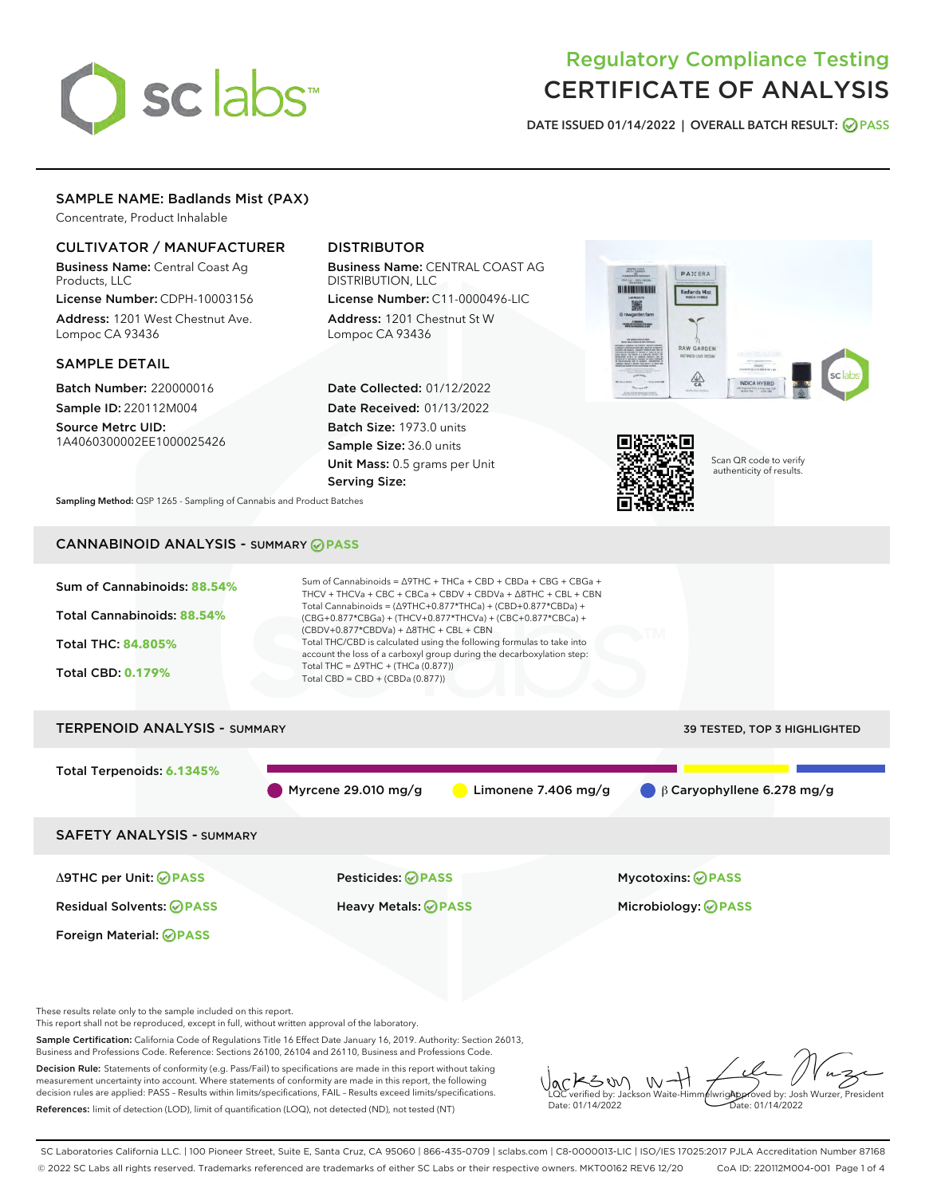# sclabs

# Regulatory Compliance Testing CERTIFICATE OF ANALYSIS

DATE ISSUED 01/14/2022 | OVERALL BATCH RESULT: @ PASS

# SAMPLE NAME: Badlands Mist (PAX)

Concentrate, Product Inhalable

# CULTIVATOR / MANUFACTURER

Business Name: Central Coast Ag Products, LLC

License Number: CDPH-10003156 Address: 1201 West Chestnut Ave. Lompoc CA 93436

## SAMPLE DETAIL

Batch Number: 220000016 Sample ID: 220112M004

Source Metrc UID: 1A4060300002EE1000025426

# DISTRIBUTOR

Business Name: CENTRAL COAST AG DISTRIBUTION, LLC

License Number: C11-0000496-LIC Address: 1201 Chestnut St W Lompoc CA 93436

Date Collected: 01/12/2022 Date Received: 01/13/2022 Batch Size: 1973.0 units Sample Size: 36.0 units Unit Mass: 0.5 grams per Unit Serving Size:





Scan QR code to verify authenticity of results.

Sampling Method: QSP 1265 - Sampling of Cannabis and Product Batches

# CANNABINOID ANALYSIS - SUMMARY **PASS**



Decision Rule: Statements of conformity (e.g. Pass/Fail) to specifications are made in this report without taking measurement uncertainty into account. Where statements of conformity are made in this report, the following decision rules are applied: PASS – Results within limits/specifications, FAIL – Results exceed limits/specifications. References: limit of detection (LOD), limit of quantification (LOQ), not detected (ND), not tested (NT)

KSW  $W$ **AlwrigApproved by: Josh Wurzer, President** LQC verified by: Jackson Waite-Himmelwright Date: 01/14/2022 Date: 01/14/2022

SC Laboratories California LLC. | 100 Pioneer Street, Suite E, Santa Cruz, CA 95060 | 866-435-0709 | sclabs.com | C8-0000013-LIC | ISO/IES 17025:2017 PJLA Accreditation Number 87168 © 2022 SC Labs all rights reserved. Trademarks referenced are trademarks of either SC Labs or their respective owners. MKT00162 REV6 12/20 CoA ID: 220112M004-001 Page 1 of 4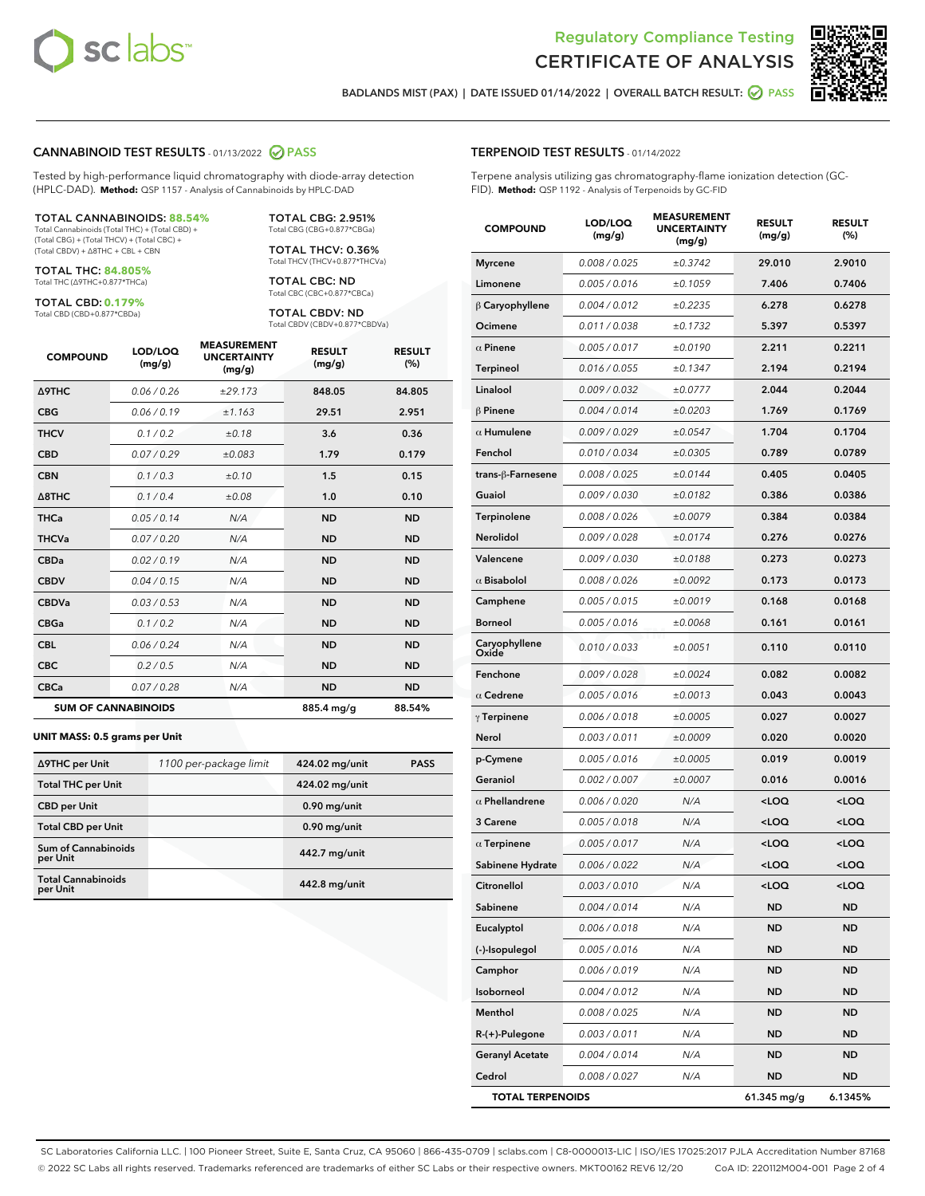



BADLANDS MIST (PAX) | DATE ISSUED 01/14/2022 | OVERALL BATCH RESULT: 2 PASS

#### CANNABINOID TEST RESULTS - 01/13/2022 2 PASS

Tested by high-performance liquid chromatography with diode-array detection (HPLC-DAD). **Method:** QSP 1157 - Analysis of Cannabinoids by HPLC-DAD

#### TOTAL CANNABINOIDS: **88.54%**

Total Cannabinoids (Total THC) + (Total CBD) + (Total CBG) + (Total THCV) + (Total CBC) + (Total CBDV) + ∆8THC + CBL + CBN

TOTAL THC: **84.805%** Total THC (∆9THC+0.877\*THCa)

TOTAL CBD: **0.179%**

Total CBD (CBD+0.877\*CBDa)

TOTAL CBG: 2.951% Total CBG (CBG+0.877\*CBGa)

TOTAL THCV: 0.36% Total THCV (THCV+0.877\*THCVa)

TOTAL CBC: ND Total CBC (CBC+0.877\*CBCa)

TOTAL CBDV: ND Total CBDV (CBDV+0.877\*CBDVa)

| <b>COMPOUND</b>  | LOD/LOQ<br>(mg/g)          | <b>MEASUREMENT</b><br><b>UNCERTAINTY</b><br>(mg/g) | <b>RESULT</b><br>(mg/g) | <b>RESULT</b><br>(%) |
|------------------|----------------------------|----------------------------------------------------|-------------------------|----------------------|
| <b>A9THC</b>     | 0.06 / 0.26                | ±29.173                                            | 848.05                  | 84.805               |
| <b>CBG</b>       | 0.06/0.19                  | ±1.163                                             | 29.51                   | 2.951                |
| <b>THCV</b>      | 0.1 / 0.2                  | ±0.18                                              | 3.6                     | 0.36                 |
| <b>CBD</b>       | 0.07/0.29                  | ±0.083                                             | 1.79                    | 0.179                |
| <b>CBN</b>       | 0.1/0.3                    | ±0.10                                              | 1.5                     | 0.15                 |
| $\triangle$ 8THC | 0.1 / 0.4                  | ±0.08                                              | 1.0                     | 0.10                 |
| <b>THCa</b>      | 0.05/0.14                  | N/A                                                | <b>ND</b>               | <b>ND</b>            |
| <b>THCVa</b>     | 0.07/0.20                  | N/A                                                | <b>ND</b>               | <b>ND</b>            |
| <b>CBDa</b>      | 0.02/0.19                  | N/A                                                | <b>ND</b>               | <b>ND</b>            |
| <b>CBDV</b>      | 0.04 / 0.15                | N/A                                                | <b>ND</b>               | <b>ND</b>            |
| <b>CBDVa</b>     | 0.03/0.53                  | N/A                                                | <b>ND</b>               | <b>ND</b>            |
| <b>CBGa</b>      | 0.1 / 0.2                  | N/A                                                | <b>ND</b>               | <b>ND</b>            |
| <b>CBL</b>       | 0.06 / 0.24                | N/A                                                | <b>ND</b>               | <b>ND</b>            |
| <b>CBC</b>       | 0.2 / 0.5                  | N/A                                                | <b>ND</b>               | <b>ND</b>            |
| <b>CBCa</b>      | 0.07 / 0.28                | N/A                                                | <b>ND</b>               | <b>ND</b>            |
|                  | <b>SUM OF CANNABINOIDS</b> |                                                    | 885.4 mg/g              | 88.54%               |

#### **UNIT MASS: 0.5 grams per Unit**

| ∆9THC per Unit                        | 1100 per-package limit | 424.02 mg/unit | <b>PASS</b> |
|---------------------------------------|------------------------|----------------|-------------|
| <b>Total THC per Unit</b>             |                        | 424.02 mg/unit |             |
| <b>CBD per Unit</b>                   |                        | $0.90$ mg/unit |             |
| <b>Total CBD per Unit</b>             |                        | $0.90$ mg/unit |             |
| Sum of Cannabinoids<br>per Unit       |                        | 442.7 mg/unit  |             |
| <b>Total Cannabinoids</b><br>per Unit |                        | 442.8 mg/unit  |             |

| <b>COMPOUND</b>         | LOD/LOQ<br>(mg/g) | <b>MEASUREMENT</b><br><b>UNCERTAINTY</b><br>(mg/g) | <b>RESULT</b><br>(mg/g)                         | <b>RESULT</b><br>$(\%)$ |
|-------------------------|-------------------|----------------------------------------------------|-------------------------------------------------|-------------------------|
| <b>Myrcene</b>          | 0.008 / 0.025     | ±0.3742                                            | 29.010                                          | 2.9010                  |
| Limonene                | 0.005 / 0.016     | ±0.1059                                            | 7.406                                           | 0.7406                  |
| $\beta$ Caryophyllene   | 0.004 / 0.012     | ±0.2235                                            | 6.278                                           | 0.6278                  |
| Ocimene                 | 0.011 / 0.038     | ±0.1732                                            | 5.397                                           | 0.5397                  |
| $\alpha$ Pinene         | 0.005 / 0.017     | ±0.0190                                            | 2.211                                           | 0.2211                  |
| Terpineol               | 0.016 / 0.055     | ±0.1347                                            | 2.194                                           | 0.2194                  |
| Linalool                | 0.009 / 0.032     | ±0.0777                                            | 2.044                                           | 0.2044                  |
| $\beta$ Pinene          | 0.004 / 0.014     | ±0.0203                                            | 1.769                                           | 0.1769                  |
| $\alpha$ Humulene       | 0.009/0.029       | ±0.0547                                            | 1.704                                           | 0.1704                  |
| Fenchol                 | 0.010 / 0.034     | ±0.0305                                            | 0.789                                           | 0.0789                  |
| trans-β-Farnesene       | 0.008 / 0.025     | ±0.0144                                            | 0.405                                           | 0.0405                  |
| Guaiol                  | 0.009 / 0.030     | ±0.0182                                            | 0.386                                           | 0.0386                  |
| Terpinolene             | 0.008 / 0.026     | ±0.0079                                            | 0.384                                           | 0.0384                  |
| Nerolidol               | 0.009 / 0.028     | ±0.0174                                            | 0.276                                           | 0.0276                  |
| Valencene               | 0.009 / 0.030     | ±0.0188                                            | 0.273                                           | 0.0273                  |
| $\alpha$ Bisabolol      | 0.008 / 0.026     | ±0.0092                                            | 0.173                                           | 0.0173                  |
| Camphene                | 0.005 / 0.015     | ±0.0019                                            | 0.168                                           | 0.0168                  |
| Borneol                 | 0.005 / 0.016     | ±0.0068                                            | 0.161                                           | 0.0161                  |
| Caryophyllene<br>Oxide  | 0.010 / 0.033     | ±0.0051                                            | 0.110                                           | 0.0110                  |
| Fenchone                | 0.009 / 0.028     | ±0.0024                                            | 0.082                                           | 0.0082                  |
| $\alpha$ Cedrene        | 0.005 / 0.016     | ±0.0013                                            | 0.043                                           | 0.0043                  |
| $\gamma$ Terpinene      | 0.006 / 0.018     | ±0.0005                                            | 0.027                                           | 0.0027                  |
| Nerol                   | 0.003 / 0.011     | ±0.0009                                            | 0.020                                           | 0.0020                  |
| p-Cymene                | 0.005 / 0.016     | ±0.0005                                            | 0.019                                           | 0.0019                  |
| Geraniol                | 0.002 / 0.007     | ±0.0007                                            | 0.016                                           | 0.0016                  |
| $\alpha$ Phellandrene   | 0.006 / 0.020     | N/A                                                | <loq< th=""><th><loq< th=""></loq<></th></loq<> | <loq< th=""></loq<>     |
| 3 Carene                | 0.005 / 0.018     | N/A                                                | <loq< th=""><th><loq< th=""></loq<></th></loq<> | <loq< th=""></loq<>     |
| $\alpha$ Terpinene      | 0.005 / 0.017     | N/A                                                | <loq< th=""><th><loq< th=""></loq<></th></loq<> | <loq< th=""></loq<>     |
| Sabinene Hydrate        | 0.006 / 0.022     | N/A                                                | <loq< th=""><th><loq< th=""></loq<></th></loq<> | <loq< th=""></loq<>     |
| Citronellol             | 0.003 / 0.010     | N/A                                                | $\sim$ 00                                       | $\sim$ 0.0              |
| Sabinene                | 0.004 / 0.014     | N/A                                                | ND                                              | ND                      |
| Eucalyptol              | 0.006 / 0.018     | N/A                                                | ND                                              | ND                      |
| (-)-Isopulegol          | 0.005 / 0.016     | N/A                                                | ND                                              | ND                      |
| Camphor                 | 0.006 / 0.019     | N/A                                                | ND                                              | ND                      |
| Isoborneol              | 0.004 / 0.012     | N/A                                                | ND                                              | ND                      |
| Menthol                 | 0.008 / 0.025     | N/A                                                | ND                                              | ND                      |
| R-(+)-Pulegone          | 0.003 / 0.011     | N/A                                                | ND                                              | ND                      |
| <b>Geranyl Acetate</b>  | 0.004 / 0.014     | N/A                                                | ND                                              | ND                      |
| Cedrol                  | 0.008 / 0.027     | N/A                                                | ND.                                             | ND                      |
| <b>TOTAL TERPENOIDS</b> |                   |                                                    | $61.345$ mg/g                                   | 6.1345%                 |

SC Laboratories California LLC. | 100 Pioneer Street, Suite E, Santa Cruz, CA 95060 | 866-435-0709 | sclabs.com | C8-0000013-LIC | ISO/IES 17025:2017 PJLA Accreditation Number 87168 © 2022 SC Labs all rights reserved. Trademarks referenced are trademarks of either SC Labs or their respective owners. MKT00162 REV6 12/20 CoA ID: 220112M004-001 Page 2 of 4

# TERPENOID TEST RESULTS - 01/14/2022

Terpene analysis utilizing gas chromatography-flame ionization detection (GC-FID). **Method:** QSP 1192 - Analysis of Terpenoids by GC-FID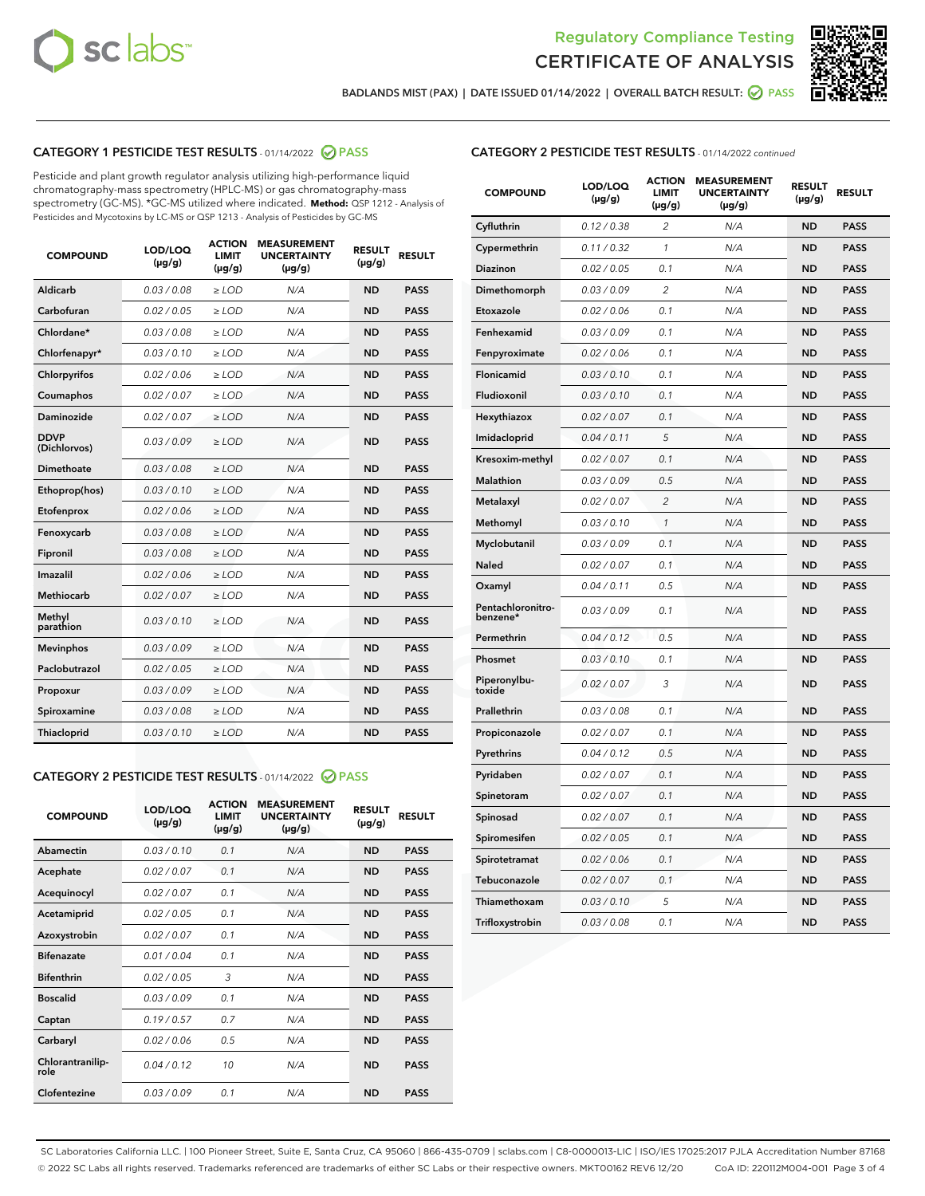



BADLANDS MIST (PAX) | DATE ISSUED 01/14/2022 | OVERALL BATCH RESULT:  $\bigcirc$  PASS

# CATEGORY 1 PESTICIDE TEST RESULTS - 01/14/2022 2 PASS

Pesticide and plant growth regulator analysis utilizing high-performance liquid chromatography-mass spectrometry (HPLC-MS) or gas chromatography-mass spectrometry (GC-MS). \*GC-MS utilized where indicated. **Method:** QSP 1212 - Analysis of Pesticides and Mycotoxins by LC-MS or QSP 1213 - Analysis of Pesticides by GC-MS

| <b>COMPOUND</b>             | LOD/LOQ<br>$(\mu g/g)$ | <b>ACTION</b><br><b>LIMIT</b><br>$(\mu g/g)$ | <b>MEASUREMENT</b><br><b>UNCERTAINTY</b><br>$(\mu g/g)$ | <b>RESULT</b><br>$(\mu g/g)$ | <b>RESULT</b> |
|-----------------------------|------------------------|----------------------------------------------|---------------------------------------------------------|------------------------------|---------------|
| Aldicarb                    | 0.03/0.08              | $>$ LOD                                      | N/A                                                     | <b>ND</b>                    | <b>PASS</b>   |
| Carbofuran                  | 0.02 / 0.05            | $\ge$ LOD                                    | N/A                                                     | <b>ND</b>                    | <b>PASS</b>   |
| Chlordane*                  | 0.03 / 0.08            | $\geq$ LOD                                   | N/A                                                     | <b>ND</b>                    | <b>PASS</b>   |
| Chlorfenapyr*               | 0.03/0.10              | $\ge$ LOD                                    | N/A                                                     | <b>ND</b>                    | <b>PASS</b>   |
| Chlorpyrifos                | 0.02 / 0.06            | $\ge$ LOD                                    | N/A                                                     | <b>ND</b>                    | <b>PASS</b>   |
| Coumaphos                   | 0.02 / 0.07            | $\ge$ LOD                                    | N/A                                                     | <b>ND</b>                    | <b>PASS</b>   |
| Daminozide                  | 0.02/0.07              | $>$ LOD                                      | N/A                                                     | <b>ND</b>                    | <b>PASS</b>   |
| <b>DDVP</b><br>(Dichlorvos) | 0.03/0.09              | $\ge$ LOD                                    | N/A                                                     | <b>ND</b>                    | <b>PASS</b>   |
| <b>Dimethoate</b>           | 0.03/0.08              | $\ge$ LOD                                    | N/A                                                     | <b>ND</b>                    | <b>PASS</b>   |
| Ethoprop(hos)               | 0.03/0.10              | $\ge$ LOD                                    | N/A                                                     | <b>ND</b>                    | <b>PASS</b>   |
| Etofenprox                  | 0.02 / 0.06            | $\ge$ LOD                                    | N/A                                                     | <b>ND</b>                    | <b>PASS</b>   |
| Fenoxycarb                  | 0.03/0.08              | $\ge$ LOD                                    | N/A                                                     | <b>ND</b>                    | <b>PASS</b>   |
| Fipronil                    | 0.03/0.08              | $\ge$ LOD                                    | N/A                                                     | <b>ND</b>                    | <b>PASS</b>   |
| Imazalil                    | 0.02 / 0.06            | $>$ LOD                                      | N/A                                                     | <b>ND</b>                    | <b>PASS</b>   |
| Methiocarb                  | 0.02 / 0.07            | $>$ LOD                                      | N/A                                                     | <b>ND</b>                    | <b>PASS</b>   |
| Methyl<br>parathion         | 0.03/0.10              | $>$ LOD                                      | N/A                                                     | <b>ND</b>                    | <b>PASS</b>   |
| <b>Mevinphos</b>            | 0.03/0.09              | $\ge$ LOD                                    | N/A                                                     | <b>ND</b>                    | <b>PASS</b>   |
| Paclobutrazol               | 0.02 / 0.05            | $>$ LOD                                      | N/A                                                     | <b>ND</b>                    | <b>PASS</b>   |
| Propoxur                    | 0.03/0.09              | $\ge$ LOD                                    | N/A                                                     | <b>ND</b>                    | <b>PASS</b>   |
| Spiroxamine                 | 0.03 / 0.08            | $\ge$ LOD                                    | N/A                                                     | <b>ND</b>                    | <b>PASS</b>   |
| Thiacloprid                 | 0.03/0.10              | $\ge$ LOD                                    | N/A                                                     | <b>ND</b>                    | <b>PASS</b>   |

## CATEGORY 2 PESTICIDE TEST RESULTS - 01/14/2022 2 PASS

| <b>COMPOUND</b>          | LOD/LOO<br>$(\mu g/g)$ | <b>ACTION</b><br>LIMIT<br>$(\mu g/g)$ | <b>MEASUREMENT</b><br><b>UNCERTAINTY</b><br>$(\mu g/g)$ | <b>RESULT</b><br>$(\mu g/g)$ | <b>RESULT</b> |  |
|--------------------------|------------------------|---------------------------------------|---------------------------------------------------------|------------------------------|---------------|--|
| Abamectin                | 0.03/0.10              | 0.1                                   | N/A                                                     | <b>ND</b>                    | <b>PASS</b>   |  |
| Acephate                 | 0.02/0.07              | 0.1                                   | N/A                                                     | <b>ND</b>                    | <b>PASS</b>   |  |
| Acequinocyl              | 0.02/0.07              | 0.1                                   | N/A                                                     | <b>ND</b>                    | <b>PASS</b>   |  |
| Acetamiprid              | 0.02 / 0.05            | 0.1                                   | N/A                                                     | <b>ND</b>                    | <b>PASS</b>   |  |
| Azoxystrobin             | 0.02/0.07              | 0.1                                   | N/A                                                     | <b>ND</b>                    | <b>PASS</b>   |  |
| <b>Bifenazate</b>        | 0.01 / 0.04            | 0.1                                   | N/A                                                     | <b>ND</b>                    | <b>PASS</b>   |  |
| <b>Bifenthrin</b>        | 0.02 / 0.05            | 3                                     | N/A                                                     | <b>ND</b>                    | <b>PASS</b>   |  |
| <b>Boscalid</b>          | 0.03/0.09              | 0.1                                   | N/A                                                     | <b>ND</b>                    | <b>PASS</b>   |  |
| Captan                   | 0.19/0.57              | 0.7                                   | N/A                                                     | <b>ND</b>                    | <b>PASS</b>   |  |
| Carbaryl                 | 0.02/0.06              | 0.5                                   | N/A                                                     | <b>ND</b>                    | <b>PASS</b>   |  |
| Chlorantranilip-<br>role | 0.04/0.12              | 10                                    | N/A                                                     | <b>ND</b>                    | <b>PASS</b>   |  |
| Clofentezine             | 0.03/0.09              | 0.1                                   | N/A                                                     | <b>ND</b>                    | <b>PASS</b>   |  |

| <b>COMPOUND</b>               | LOD/LOQ<br>(µg/g) | <b>ACTION</b><br>LIMIT<br>(µg/g) | <b>MEASUREMENT</b><br><b>UNCERTAINTY</b><br>(µg/g) | <b>RESULT</b><br>(µg/g) | <b>RESULT</b> |
|-------------------------------|-------------------|----------------------------------|----------------------------------------------------|-------------------------|---------------|
| Cyfluthrin                    | 0.12 / 0.38       | $\overline{c}$                   | N/A                                                | <b>ND</b>               | <b>PASS</b>   |
| Cypermethrin                  | 0.11/0.32         | 1                                | N/A                                                | <b>ND</b>               | <b>PASS</b>   |
| Diazinon                      | 0.02 / 0.05       | 0.1                              | N/A                                                | <b>ND</b>               | <b>PASS</b>   |
| Dimethomorph                  | 0.03 / 0.09       | 2                                | N/A                                                | <b>ND</b>               | <b>PASS</b>   |
| Etoxazole                     | 0.02 / 0.06       | 0.1                              | N/A                                                | <b>ND</b>               | <b>PASS</b>   |
| Fenhexamid                    | 0.03 / 0.09       | 0.1                              | N/A                                                | <b>ND</b>               | <b>PASS</b>   |
| Fenpyroximate                 | 0.02 / 0.06       | 0.1                              | N/A                                                | <b>ND</b>               | <b>PASS</b>   |
| Flonicamid                    | 0.03 / 0.10       | 0.1                              | N/A                                                | <b>ND</b>               | <b>PASS</b>   |
| Fludioxonil                   | 0.03 / 0.10       | 0.1                              | N/A                                                | <b>ND</b>               | <b>PASS</b>   |
| Hexythiazox                   | 0.02 / 0.07       | 0.1                              | N/A                                                | <b>ND</b>               | <b>PASS</b>   |
| Imidacloprid                  | 0.04 / 0.11       | 5                                | N/A                                                | <b>ND</b>               | <b>PASS</b>   |
| Kresoxim-methyl               | 0.02 / 0.07       | 0.1                              | N/A                                                | <b>ND</b>               | <b>PASS</b>   |
| Malathion                     | 0.03 / 0.09       | 0.5                              | N/A                                                | <b>ND</b>               | <b>PASS</b>   |
| Metalaxyl                     | 0.02 / 0.07       | 2                                | N/A                                                | <b>ND</b>               | <b>PASS</b>   |
| Methomyl                      | 0.03 / 0.10       | $\mathcal{I}$                    | N/A                                                | <b>ND</b>               | <b>PASS</b>   |
| Myclobutanil                  | 0.03 / 0.09       | 0.1                              | N/A                                                | <b>ND</b>               | <b>PASS</b>   |
| Naled                         | 0.02 / 0.07       | 0.1                              | N/A                                                | <b>ND</b>               | <b>PASS</b>   |
| Oxamyl                        | 0.04 / 0.11       | 0.5                              | N/A                                                | <b>ND</b>               | <b>PASS</b>   |
| Pentachloronitro-<br>benzene* | 0.03 / 0.09       | 0.1                              | N/A                                                | <b>ND</b>               | <b>PASS</b>   |
| Permethrin                    | 0.04/0.12         | 0.5                              | N/A                                                | <b>ND</b>               | <b>PASS</b>   |
| Phosmet                       | 0.03 / 0.10       | 0.1                              | N/A                                                | <b>ND</b>               | <b>PASS</b>   |
| Piperonylbu-<br>toxide        | 0.02 / 0.07       | 3                                | N/A                                                | <b>ND</b>               | <b>PASS</b>   |
| Prallethrin                   | 0.03 / 0.08       | 0.1                              | N/A                                                | <b>ND</b>               | <b>PASS</b>   |
| Propiconazole                 | 0.02 / 0.07       | 0.1                              | N/A                                                | <b>ND</b>               | <b>PASS</b>   |
| Pyrethrins                    | 0.04 / 0.12       | 0.5                              | N/A                                                | <b>ND</b>               | <b>PASS</b>   |
| Pyridaben                     | 0.02 / 0.07       | 0.1                              | N/A                                                | <b>ND</b>               | <b>PASS</b>   |
| Spinetoram                    | 0.02 / 0.07       | 0.1                              | N/A                                                | <b>ND</b>               | <b>PASS</b>   |
| Spinosad                      | 0.02 / 0.07       | 0.1                              | N/A                                                | <b>ND</b>               | <b>PASS</b>   |
| Spiromesifen                  | 0.02 / 0.05       | 0.1                              | N/A                                                | <b>ND</b>               | <b>PASS</b>   |
| Spirotetramat                 | 0.02 / 0.06       | 0.1                              | N/A                                                | ND                      | <b>PASS</b>   |
| Tebuconazole                  | 0.02 / 0.07       | 0.1                              | N/A                                                | <b>ND</b>               | <b>PASS</b>   |
| Thiamethoxam                  | 0.03 / 0.10       | 5                                | N/A                                                | <b>ND</b>               | <b>PASS</b>   |
| Trifloxystrobin               | 0.03 / 0.08       | 0.1                              | N/A                                                | <b>ND</b>               | <b>PASS</b>   |

SC Laboratories California LLC. | 100 Pioneer Street, Suite E, Santa Cruz, CA 95060 | 866-435-0709 | sclabs.com | C8-0000013-LIC | ISO/IES 17025:2017 PJLA Accreditation Number 87168 © 2022 SC Labs all rights reserved. Trademarks referenced are trademarks of either SC Labs or their respective owners. MKT00162 REV6 12/20 CoA ID: 220112M004-001 Page 3 of 4